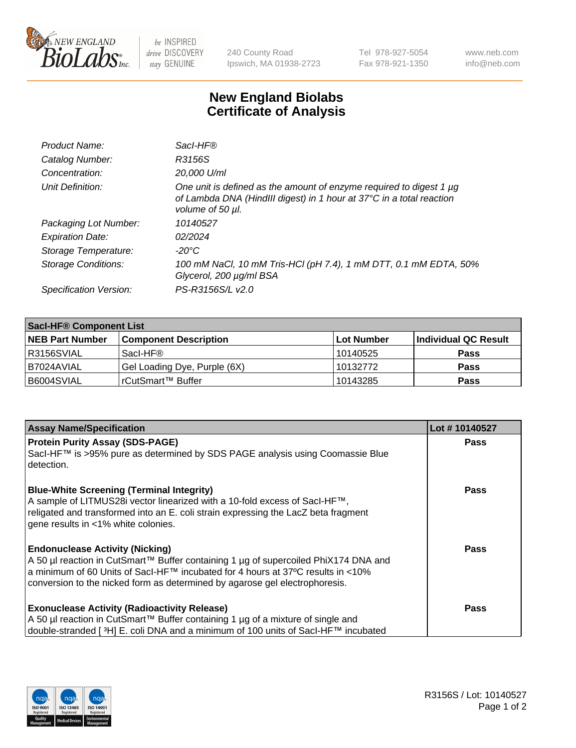

 $be$  INSPIRED drive DISCOVERY stay GENUINE

240 County Road Ipswich, MA 01938-2723 Tel 978-927-5054 Fax 978-921-1350 www.neb.com info@neb.com

## **New England Biolabs Certificate of Analysis**

| Product Name:              | Sacl-HF®                                                                                                                                                        |
|----------------------------|-----------------------------------------------------------------------------------------------------------------------------------------------------------------|
| Catalog Number:            | R3156S                                                                                                                                                          |
| Concentration:             | 20,000 U/ml                                                                                                                                                     |
| Unit Definition:           | One unit is defined as the amount of enzyme required to digest 1 µg<br>of Lambda DNA (HindIII digest) in 1 hour at 37°C in a total reaction<br>volume of 50 µl. |
| Packaging Lot Number:      | 10140527                                                                                                                                                        |
| <b>Expiration Date:</b>    | 02/2024                                                                                                                                                         |
| Storage Temperature:       | -20°C                                                                                                                                                           |
| <b>Storage Conditions:</b> | 100 mM NaCl, 10 mM Tris-HCl (pH 7.4), 1 mM DTT, 0.1 mM EDTA, 50%<br>Glycerol, 200 µg/ml BSA                                                                     |
| Specification Version:     | PS-R3156S/L v2.0                                                                                                                                                |

| <b>Saci-HF® Component List</b> |                              |             |                      |  |  |
|--------------------------------|------------------------------|-------------|----------------------|--|--|
| <b>NEB Part Number</b>         | <b>Component Description</b> | ∣Lot Number | Individual QC Result |  |  |
| I R3156SVIAL                   | Sacl-HF®                     | 10140525    | <b>Pass</b>          |  |  |
| I B7024AVIAL                   | Gel Loading Dye, Purple (6X) | 10132772    | <b>Pass</b>          |  |  |
| B6004SVIAL                     | rCutSmart™ Buffer            | 10143285    | <b>Pass</b>          |  |  |

| <b>Assay Name/Specification</b>                                                                           | Lot #10140527 |
|-----------------------------------------------------------------------------------------------------------|---------------|
| <b>Protein Purity Assay (SDS-PAGE)</b>                                                                    | <b>Pass</b>   |
| SacI-HF™ is >95% pure as determined by SDS PAGE analysis using Coomassie Blue<br>detection.               |               |
| <b>Blue-White Screening (Terminal Integrity)</b>                                                          | Pass          |
| A sample of LITMUS28i vector linearized with a 10-fold excess of SacI-HF™,                                |               |
| religated and transformed into an E. coli strain expressing the LacZ beta fragment                        |               |
| gene results in <1% white colonies.                                                                       |               |
| <b>Endonuclease Activity (Nicking)</b>                                                                    | Pass          |
| A 50 µl reaction in CutSmart™ Buffer containing 1 µg of supercoiled PhiX174 DNA and                       |               |
| a minimum of 60 Units of Sacl-HF <sup>TM</sup> incubated for 4 hours at 37 <sup>o</sup> C results in <10% |               |
| conversion to the nicked form as determined by agarose gel electrophoresis.                               |               |
| <b>Exonuclease Activity (Radioactivity Release)</b>                                                       | Pass          |
| A 50 µl reaction in CutSmart™ Buffer containing 1 µg of a mixture of single and                           |               |
| double-stranded [3H] E. coli DNA and a minimum of 100 units of Sacl-HF™ incubated                         |               |